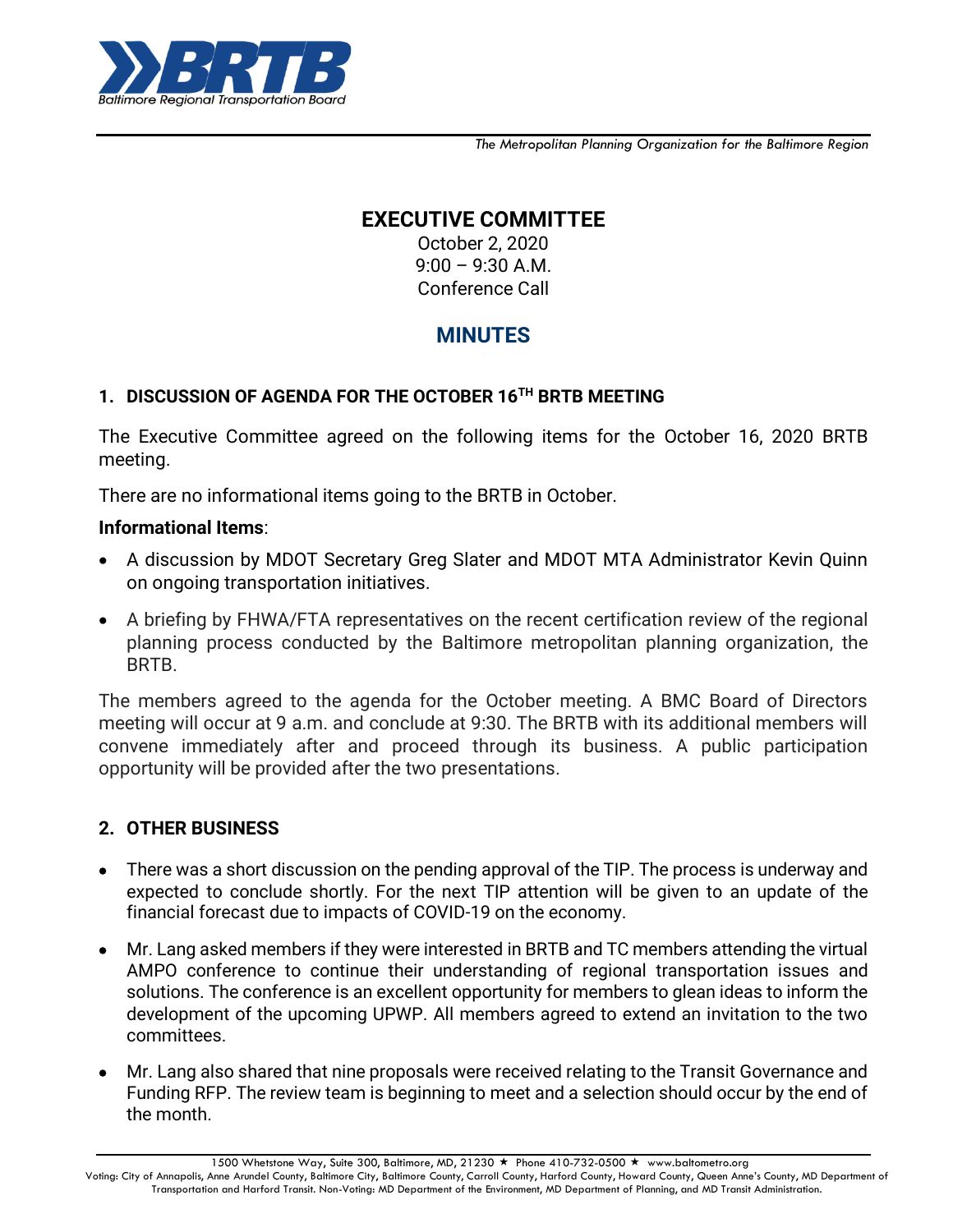

*The Metropolitan Planning Organization for the Baltimore Region*

## **EXECUTIVE COMMITTEE**

October 2, 2020 9:00 – 9:30 A.M. Conference Call

# **MINUTES**

### **1. DISCUSSION OF AGENDA FOR THE OCTOBER 16TH BRTB MEETING**

The Executive Committee agreed on the following items for the October 16, 2020 BRTB meeting.

There are no informational items going to the BRTB in October.

#### **Informational Items**:

- A discussion by MDOT Secretary Greg Slater and MDOT MTA Administrator Kevin Quinn on ongoing transportation initiatives.
- A briefing by FHWA/FTA representatives on the recent certification review of the regional planning process conducted by the Baltimore metropolitan planning organization, the BRTB.

The members agreed to the agenda for the October meeting. A BMC Board of Directors meeting will occur at 9 a.m. and conclude at 9:30. The BRTB with its additional members will convene immediately after and proceed through its business. A public participation opportunity will be provided after the two presentations.

## **2. OTHER BUSINESS**

- There was a short discussion on the pending approval of the TIP. The process is underway and expected to conclude shortly. For the next TIP attention will be given to an update of the financial forecast due to impacts of COVID-19 on the economy.
- Mr. Lang asked members if they were interested in BRTB and TC members attending the virtual AMPO conference to continue their understanding of regional transportation issues and solutions. The conference is an excellent opportunity for members to glean ideas to inform the development of the upcoming UPWP. All members agreed to extend an invitation to the two committees.
- Mr. Lang also shared that nine proposals were received relating to the Transit Governance and Funding RFP. The review team is beginning to meet and a selection should occur by the end of the month.

1500 Whetstone Way, Suite 300, Baltimore, MD, 21230 ★ Phone 410-732-0500 ★ www.baltometro.org

Voting: City of Annapolis, Anne Arundel County, Baltimore City, Baltimore County, Carroll County, Harford County, Howard County, Queen Anne's County, MD Department of Transportation and Harford Transit. Non-Voting: MD Department of the Environment, MD Department of Planning, and MD Transit Administration.